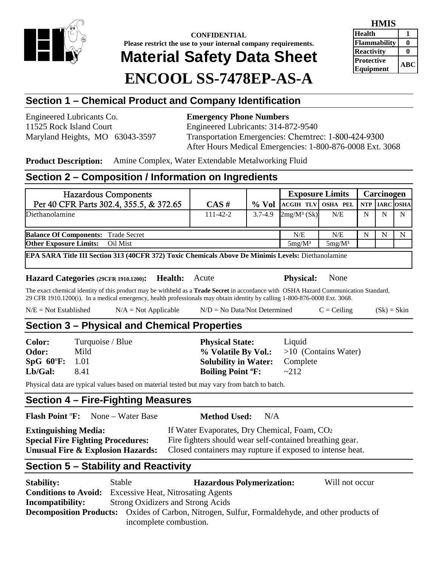

**CONFIDENTIAL Please restrict the use to your internal company requirements. Material Safety Data Sheet ENCOOL SS-7478EP-AS-A**

| HMIS                |           |
|---------------------|-----------|
| <b>Health</b>       |           |
| <b>Flammability</b> |           |
| <b>Reactivity</b>   |           |
| <b>Protective</b>   | $\bf ABC$ |
| Equipment           |           |

# **Section 1 – Chemical Product and Company Identification**

Engineered Lubricants Co. **Emergency Phone Numbers**

11525 Rock Island Court Engineered Lubricants: 314-872-9540 Maryland Heights, MO 63043-3597 Transportation Emergencies: Chemtrec: 1-800-424-9300 After Hours Medical Emergencies: 1-800-876-0008 Ext. 3068

**Product Description:** Amine Complex, Water Extendable Metalworking Fluid

## **Section 2 – Composition / Information on Ingredients**

| <b>Hazardous Components</b>                                                                        |                |             | <b>Exposure Limits</b> |           |   | Carcinogen    |   |
|----------------------------------------------------------------------------------------------------|----------------|-------------|------------------------|-----------|---|---------------|---|
| Per 40 CFR Parts 302.4, 355.5, & 372.65                                                            | CAS#           | $\%$ Vol    | ACGIH TLV OSHA PEL     |           |   | NTP IARC OSHA |   |
| Diethanolamine                                                                                     | $111 - 42 - 2$ | $3.7 - 4.9$ | $2mg/M^3$ (Sk)         | N/E       | N | N             | N |
| <b>Balance Of Components:</b> Trade Secret                                                         |                |             | N/E                    | N/E       | N | N             | N |
| <b>Other Exposure Limits:</b> Oil Mist                                                             |                |             | $5mg/M^3$              | $5mg/M^3$ |   |               |   |
| EPA SARA Title III Section 313 (40CFR 372) Toxic Chemicals Above De Minimis Levels: Diethanolamine |                |             |                        |           |   |               |   |

#### **Hazard Categories (29CFR 1910.1200): Health:** Acute **Physical:** None

The exact chemical identity of this product may be withheld as a **Trade Secret** in accordance with OSHA Hazard Communication Standard, 29 CFR 1910.1200(i). In a medical emergency, health professionals may obtain identity by calling 1-800-876-0008 Ext. 3068.

| $N/E = Not Established$ | $N/A = Not Applicable$ | $N/D = No Data/Not Determine$ | $C = Ceiling$ | $(Sk) = Skin$ |
|-------------------------|------------------------|-------------------------------|---------------|---------------|
|-------------------------|------------------------|-------------------------------|---------------|---------------|

**Physical State:** Liquid

**Method Used:** N/A

**Solubility in Water:** Complete **Boiling Point °F:**  $\sim 212$ 

% **Volatile By Vol.:** >10 (Contains Water)

# **Section 3 – Physical and Chemical Properties**

| <b>Color:</b>           | Turquoise / Blue |
|-------------------------|------------------|
| Odor:                   | Mild             |
| $SpG 60^{\circ}F: 1.01$ |                  |
| Lb/Gal:                 | 8.41             |

Physical data are typical values based on material tested but may vary from batch to batch.

### **Section 4 – Fire-Fighting Measures**

| <b>Flash Point °F:</b> | None – Water Base |  |
|------------------------|-------------------|--|
|                        |                   |  |

| If Water Evaporates, Dry Chemical, Foam, CO <sub>2</sub>  |
|-----------------------------------------------------------|
| Fire fighters should wear self-contained breathing gear.  |
| Closed containers may rupture if exposed to intense heat. |
|                                                           |

# **Section 5 – Stability and Reactivity**

| <b>Stability:</b>                                                                                      | Stable                                    | <b>Hazardous Polymerization:</b> | Will not occur |  |
|--------------------------------------------------------------------------------------------------------|-------------------------------------------|----------------------------------|----------------|--|
| <b>Conditions to Avoid:</b>                                                                            | <b>Excessive Heat, Nitrosating Agents</b> |                                  |                |  |
| Incompatibility:                                                                                       | <b>Strong Oxidizers and Strong Acids</b>  |                                  |                |  |
| <b>Decomposition Products:</b> Oxides of Carbon, Nitrogen, Sulfur, Formaldehyde, and other products of |                                           |                                  |                |  |
|                                                                                                        | incomplete combustion.                    |                                  |                |  |